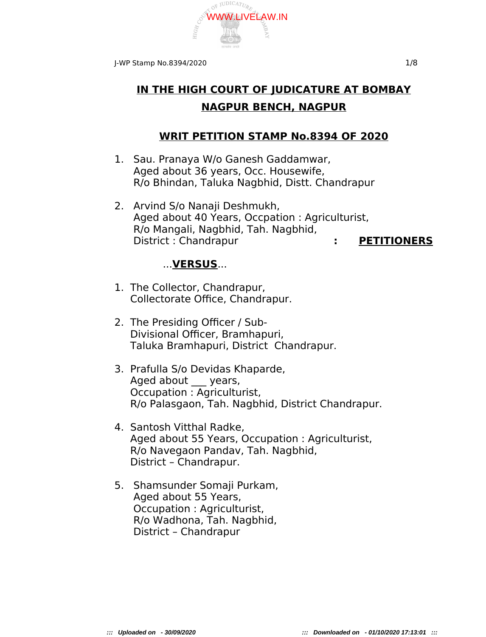

# **IN THE HIGH COURT OF JUDICATURE AT BOMBAY NAGPUR BENCH, NAGPUR**

## **WRIT PETITION STAMP No.8394 OF 2020**

- 1. Sau. Pranaya W/o Ganesh Gaddamwar, Aged about 36 years, Occ. Housewife, R/o Bhindan, Taluka Nagbhid, Distt. Chandrapur
- 2. Arvind S/o Nanaji Deshmukh, Aged about 40 Years, Occpation : Agriculturist, R/o Mangali, Nagbhid, Tah. Nagbhid, District : Chandrapur **: PETITIONERS**

## ...**VERSUS**...

- 1. The Collector, Chandrapur, Collectorate Office, Chandrapur.
- 2. The Presiding Officer / Sub- Divisional Officer, Bramhapuri, Taluka Bramhapuri, District Chandrapur.
- 3. Prafulla S/o Devidas Khaparde, Aged about \_\_ years, Occupation : Agriculturist, R/o Palasgaon, Tah. Nagbhid, District Chandrapur.
- 4. Santosh Vitthal Radke, Aged about 55 Years, Occupation : Agriculturist, R/o Navegaon Pandav, Tah. Nagbhid, District – Chandrapur.
- 5. Shamsunder Somaji Purkam, Aged about 55 Years, Occupation : Agriculturist, R/o Wadhona, Tah. Nagbhid, District – Chandrapur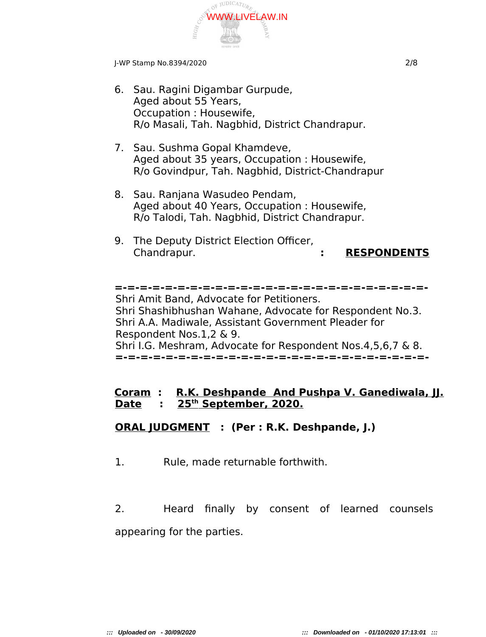

J-WP Stamp No.8394/2020 2/8

- 6. Sau. Ragini Digambar Gurpude, Aged about 55 Years, Occupation : Housewife, R/o Masali, Tah. Nagbhid, District Chandrapur.
- 7. Sau. Sushma Gopal Khamdeve, Aged about 35 years, Occupation : Housewife, R/o Govindpur, Tah. Nagbhid, District-Chandrapur
- 8. Sau. Ranjana Wasudeo Pendam, Aged about 40 Years, Occupation : Housewife, R/o Talodi, Tah. Nagbhid, District Chandrapur.
- 9. The Deputy District Election Officer, Chandrapur. **: RESPONDENTS**

**=-=-=-=-=-=-=-=-=-=-=-=-=-=-=-=-=-=-=-=-=-=-=-=-=-** Shri Amit Band, Advocate for Petitioners. Shri Shashibhushan Wahane, Advocate for Respondent No.3. Shri A.A. Madiwale, Assistant Government Pleader for Respondent Nos.1,2 & 9. Shri I.G. Meshram, Advocate for Respondent Nos.4,5,6,7 & 8. **=-=-=-=-=-=-=-=-=-=-=-=-=-=-=-=-=-=-=-=-=-=-=-=-=-**

#### **Coram : R.K. Deshpande And Pushpa V. Ganediwala, JJ. Date : 25th September, 2020.**

## **ORAL JUDGMENT : (Per : R.K. Deshpande, J.)**

1. Rule, made returnable forthwith.

2. Heard finally by consent of learned counsels appearing for the parties.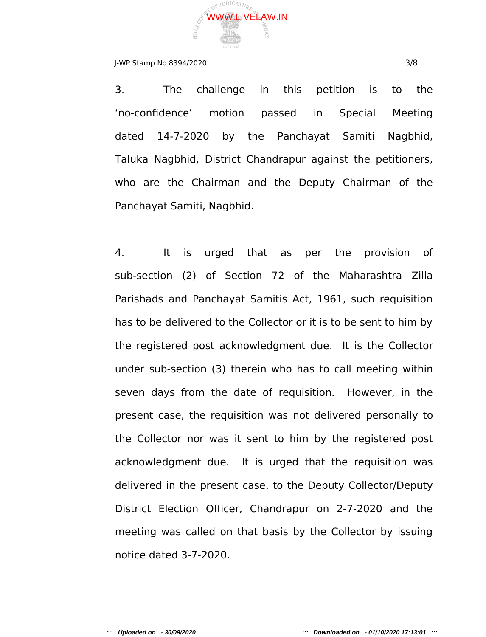

#### J-WP Stamp No.8394/2020 3/8

3. The challenge in this petition is to the 'no-confidence' motion passed in Special Meeting dated 14-7-2020 by the Panchayat Samiti Nagbhid, Taluka Nagbhid, District Chandrapur against the petitioners, who are the Chairman and the Deputy Chairman of the Panchayat Samiti, Nagbhid.

4. It is urged that as per the provision of sub-section (2) of Section 72 of the Maharashtra Zilla Parishads and Panchayat Samitis Act, 1961, such requisition has to be delivered to the Collector or it is to be sent to him by the registered post acknowledgment due. It is the Collector under sub-section (3) therein who has to call meeting within seven days from the date of requisition. However, in the present case, the requisition was not delivered personally to the Collector nor was it sent to him by the registered post acknowledgment due. It is urged that the requisition was delivered in the present case, to the Deputy Collector/Deputy District Election Officer, Chandrapur on 2-7-2020 and the meeting was called on that basis by the Collector by issuing notice dated 3-7-2020.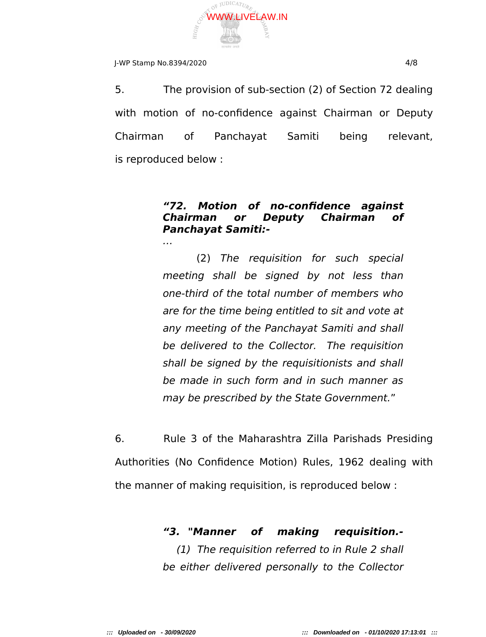

### J-WP Stamp No.8394/2020 4/8

…

5. The provision of sub-section (2) of Section 72 dealing with motion of no-confidence against Chairman or Deputy Chairman of Panchayat Samiti being relevant, is reproduced below :

## **"72. Motion of no-confidence against Chairman or Deputy Chairman of Panchayat Samiti:-**

(2) The requisition for such special meeting shall be signed by not less than one-third of the total number of members who are for the time being entitled to sit and vote at any meeting of the Panchayat Samiti and shall be delivered to the Collector. The requisition shall be signed by the requisitionists and shall be made in such form and in such manner as may be prescribed by the State Government."

6. Rule 3 of the Maharashtra Zilla Parishads Presiding Authorities (No Confidence Motion) Rules, 1962 dealing with the manner of making requisition, is reproduced below :

# **"3. "Manner of making requisition.-**

(1) The requisition referred to in Rule 2 shall be either delivered personally to the Collector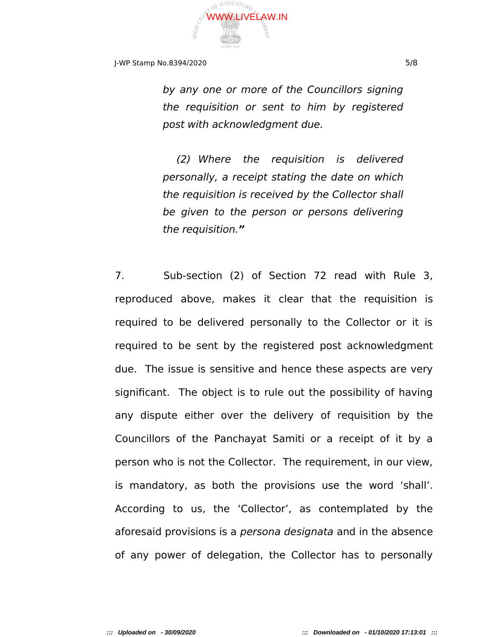

J-WP Stamp No.8394/2020 5/8

by any one or more of the Councillors signing the requisition or sent to him by registered post with acknowledgment due.

(2) Where the requisition is delivered personally, a receipt stating the date on which the requisition is received by the Collector shall be given to the person or persons delivering the requisition.**"**

7. Sub-section (2) of Section 72 read with Rule 3, reproduced above, makes it clear that the requisition is required to be delivered personally to the Collector or it is required to be sent by the registered post acknowledgment due. The issue is sensitive and hence these aspects are very significant. The object is to rule out the possibility of having any dispute either over the delivery of requisition by the Councillors of the Panchayat Samiti or a receipt of it by a person who is not the Collector. The requirement, in our view, is mandatory, as both the provisions use the word 'shall'. According to us, the 'Collector', as contemplated by the aforesaid provisions is a *persona designata* and in the absence of any power of delegation, the Collector has to personally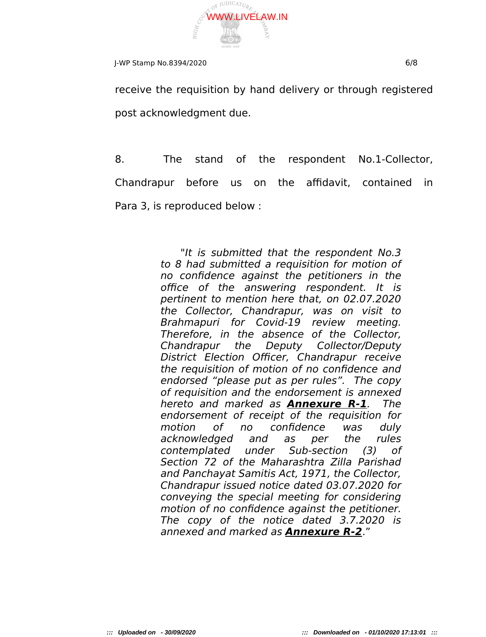

J-WP Stamp No.8394/2020 6/8

receive the requisition by hand delivery or through registered post acknowledgment due.

8. The stand of the respondent No.1-Collector, Chandrapur before us on the affidavit, contained in Para 3, is reproduced below :

> "It is submitted that the respondent No.3 to 8 had submitted a requisition for motion of no confidence against the petitioners in the office of the answering respondent. It is pertinent to mention here that, on 02.07.2020 the Collector, Chandrapur, was on visit to Brahmapuri for Covid-19 review meeting. Therefore, in the absence of the Collector, Chandrapur the Deputy Collector/Deputy District Election Officer, Chandrapur receive the requisition of motion of no confidence and endorsed "please put as per rules". The copy of requisition and the endorsement is annexed hereto and marked as **Annexure R-1**. The endorsement of receipt of the requisition for motion of no confidence was duly acknowledged and as per the rules contemplated under Sub-section (3) of Section 72 of the Maharashtra Zilla Parishad and Panchayat Samitis Act, 1971, the Collector, Chandrapur issued notice dated 03.07.2020 for conveying the special meeting for considering motion of no confidence against the petitioner. The copy of the notice dated 3.7.2020 is annexed and marked as **Annexure R-2**."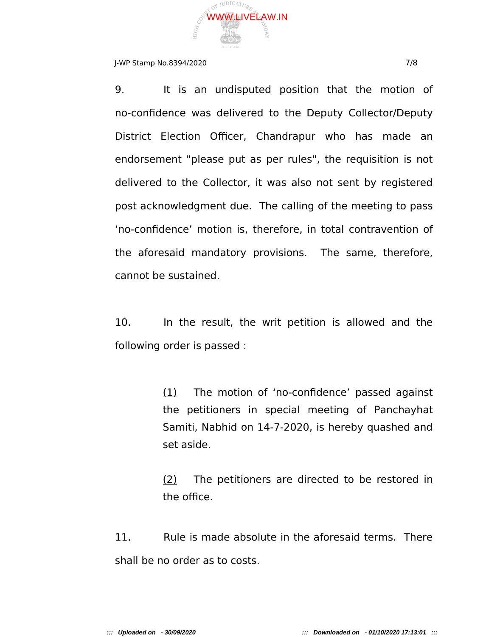

### J-WP Stamp No.8394/2020 7/8

9. It is an undisputed position that the motion of no-confidence was delivered to the Deputy Collector/Deputy District Election Officer, Chandrapur who has made an endorsement "please put as per rules", the requisition is not delivered to the Collector, it was also not sent by registered post acknowledgment due. The calling of the meeting to pass 'no-confidence' motion is, therefore, in total contravention of the aforesaid mandatory provisions. The same, therefore, cannot be sustained.

10. In the result, the writ petition is allowed and the following order is passed :

> (1) The motion of 'no-confidence' passed against the petitioners in special meeting of Panchayhat Samiti, Nabhid on 14-7-2020, is hereby quashed and set aside.

> (2) The petitioners are directed to be restored in the office.

11. Rule is made absolute in the aforesaid terms. There shall be no order as to costs.